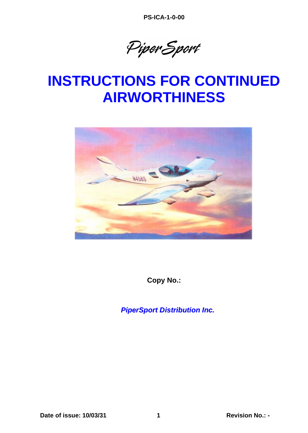Piper Sport

# **INSTRUCTIONS FOR CONTINUED AIRWORTHINESS**



**Copy No.:**

*PiperSport Distribution Inc.*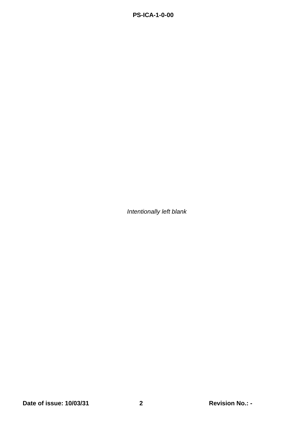*Intentionally left blank*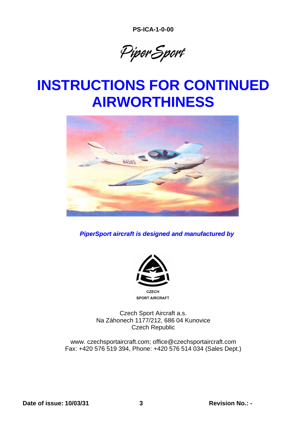Piper Sport

# **INSTRUCTIONS FOR CONTINUED AIRWORTHINESS**



*PiperSport aircraft is designed and manufactured by*



Czech Sport Aircraft a.s. Na Záhonech 1177/212, 686 04 Kunovice Czech Republic

www. czechsportaircraft.com; office@czechsportaircraft.com Fax: +420 576 519 394, Phone: +420 576 514 034 (Sales Dept.)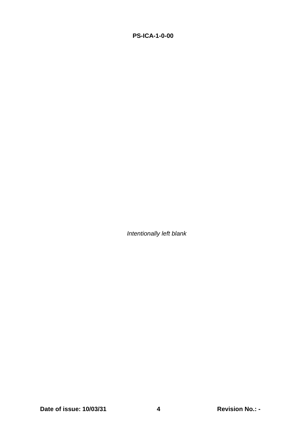*Intentionally left blank*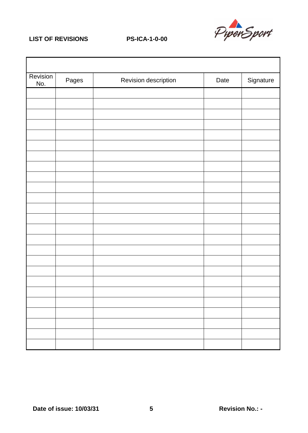#### **LIST OF REVISIONS PS-ICA-1-0-00**



٦

| Revision<br>No. | Pages | Revision description | Date | Signature |
|-----------------|-------|----------------------|------|-----------|
|                 |       |                      |      |           |
|                 |       |                      |      |           |
|                 |       |                      |      |           |
|                 |       |                      |      |           |
|                 |       |                      |      |           |
|                 |       |                      |      |           |
|                 |       |                      |      |           |
|                 |       |                      |      |           |
|                 |       |                      |      |           |
|                 |       |                      |      |           |
|                 |       |                      |      |           |
|                 |       |                      |      |           |
|                 |       |                      |      |           |
|                 |       |                      |      |           |
|                 |       |                      |      |           |
|                 |       |                      |      |           |
|                 |       |                      |      |           |
|                 |       |                      |      |           |
|                 |       |                      |      |           |
|                 |       |                      |      |           |
|                 |       |                      |      |           |
|                 |       |                      |      |           |
|                 |       |                      |      |           |
|                 |       |                      |      |           |
|                 |       |                      |      |           |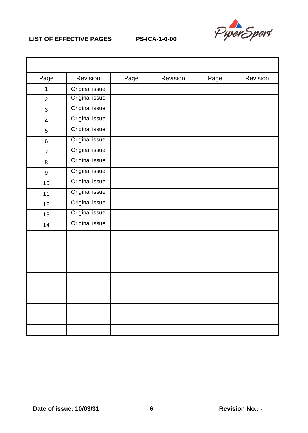

### **LIST OF EFFECTIVE PAGES PS-ICA-1-0-00**

| Page             | Revision       | Page | Revision | Page | Revision |
|------------------|----------------|------|----------|------|----------|
| $\mathbf{1}$     | Original issue |      |          |      |          |
| $\overline{2}$   | Original issue |      |          |      |          |
| $\mathfrak{B}$   | Original issue |      |          |      |          |
| $\overline{4}$   | Original issue |      |          |      |          |
| $\overline{5}$   | Original issue |      |          |      |          |
| $\,6\,$          | Original issue |      |          |      |          |
| $\overline{7}$   | Original issue |      |          |      |          |
| $\, 8$           | Original issue |      |          |      |          |
| $\boldsymbol{9}$ | Original issue |      |          |      |          |
| 10               | Original issue |      |          |      |          |
| 11               | Original issue |      |          |      |          |
| 12               | Original issue |      |          |      |          |
| 13               | Original issue |      |          |      |          |
| 14               | Original issue |      |          |      |          |
|                  |                |      |          |      |          |
|                  |                |      |          |      |          |
|                  |                |      |          |      |          |
|                  |                |      |          |      |          |
|                  |                |      |          |      |          |
|                  |                |      |          |      |          |
|                  |                |      |          |      |          |
|                  |                |      |          |      |          |
|                  |                |      |          |      |          |
|                  |                |      |          |      |          |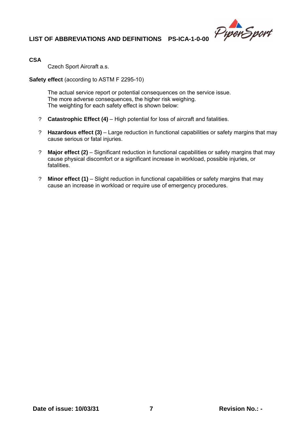

#### **CSA**

Czech Sport Aircraft a.s.

**Safety effect** (according to ASTM F 2295-10)

The actual service report or potential consequences on the service issue. The more adverse consequences, the higher risk weighing. The weighting for each safety effect is shown below:

- ? **Catastrophic Effect (4)** High potential for loss of aircraft and fatalities.
- ? **Hazardous effect (3)** Large reduction in functional capabilities or safety margins that may cause serious or fatal injuries.
- ? **Major effect (2)** Significant reduction in functional capabilities or safety margins that may cause physical discomfort or a significant increase in workload, possible injuries, or fatalities.
- ? **Minor effect (1)** Slight reduction in functional capabilities or safety margins that may cause an increase in workload or require use of emergency procedures.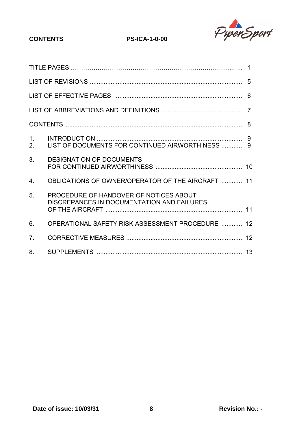

### **CONTENTS PS-ICA-1-0-00**

| 1.<br>2.         | LIST OF DOCUMENTS FOR CONTINUED AIRWORTHINESS  9                                     |  |
|------------------|--------------------------------------------------------------------------------------|--|
| 3.               | <b>DESIGNATION OF DOCUMENTS</b>                                                      |  |
| $\overline{4}$ . | OBLIGATIONS OF OWNER/OPERATOR OF THE AIRCRAFT  11                                    |  |
| 5.               | PROCEDURE OF HANDOVER OF NOTICES ABOUT<br>DISCREPANCES IN DOCUMENTATION AND FAILURES |  |
| 6.               | OPERATIONAL SAFETY RISK ASSESSMENT PROCEDURE  12                                     |  |
| 7 <sub>1</sub>   |                                                                                      |  |
| 8.               |                                                                                      |  |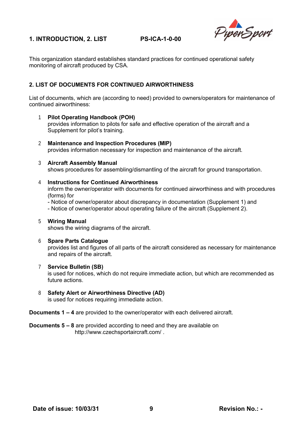

#### **1. INTRODUCTION, 2. LIST PS-ICA-1-0-00**

This organization standard establishes standard practices for continued operational safety monitoring of aircraft produced by CSA.

#### **2. LIST OF DOCUMENTS FOR CONTINUED AIRWORTHINESS**

List of documents, which are (according to need) provided to owners/operators for maintenance of continued airworthiness:

#### 1 **Pilot Operating Handbook (POH)**

provides information to pilots for safe and effective operation of the aircraft and a Supplement for pilot's training.

2 **Maintenance and Inspection Procedures (MIP)**  provides information necessary for inspection and maintenance of the aircraft.

#### 3 **Aircraft Assembly Manual**

shows procedures for assembling/dismantling of the aircraft for ground transportation.

#### 4 **Instructions for Continued Airworthiness**

inform the owner/operator with documents for continued airworthiness and with procedures (forms) for

- Notice of owner/operator about discrepancy in documentation (Supplement 1) and

- Notice of owner/operator about operating failure of the aircraft (Supplement 2).

#### 5 **Wiring Manual**

shows the wiring diagrams of the aircraft.

#### 6 **Spare Parts Catalogue**

provides list and figures of all parts of the aircraft considered as necessary for maintenance and repairs of the aircraft.

#### 7 **Service Bulletin (SB)**

is used for notices, which do not require immediate action, but which are recommended as future actions.

8 **Safety Alert or Airworthiness Directive (AD)**  is used for notices requiring immediate action.

**Documents 1 – 4** are provided to the owner/operator with each delivered aircraft.

**Documents 5 – 8** are provided according to need and they are available on http://www.czechsportaircraft.com/ .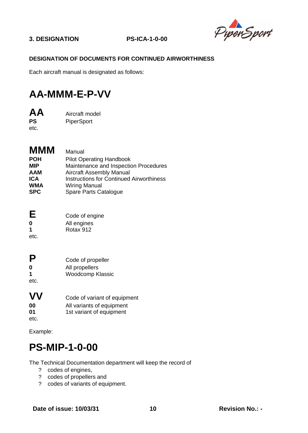



#### **DESIGNATION OF DOCUMENTS FOR CONTINUED AIRWORTHINESS**

Each aircraft manual is designated as follows:

## **AA-MMM-E-P-VV**

| AΑ  |  |
|-----|--|
| PS  |  |
| etc |  |

**A** Aircraft model **PiperSport** 

etc.

| <b>MMM</b> | Manual                                          |
|------------|-------------------------------------------------|
| <b>POH</b> | <b>Pilot Operating Handbook</b>                 |
| <b>MIP</b> | Maintenance and Inspection Procedures           |
| <b>AAM</b> | <b>Aircraft Assembly Manual</b>                 |
| <b>ICA</b> | <b>Instructions for Continued Airworthiness</b> |
| <b>WMA</b> | <b>Wiring Manual</b>                            |
| <b>SPC</b> | <b>Spare Parts Catalogue</b>                    |
|            |                                                 |

| Е | Code of engine |
|---|----------------|
| 0 | All engines    |
| 1 | Rotax 912      |

etc.

| P    | Code of propeller |
|------|-------------------|
| 0    | All propellers    |
| 1    | Woodcomp Klassic  |
| etc. |                   |

| <b>VV</b> | Code of variant of equipment |
|-----------|------------------------------|
| 00        | All variants of equipment    |
| 01        | 1st variant of equipment     |
| etc.      |                              |

Example:

## **PS-MIP-1-0-00**

The Technical Documentation department will keep the record of

- ? codes of engines,
- ? codes of propellers and
- ? codes of variants of equipment.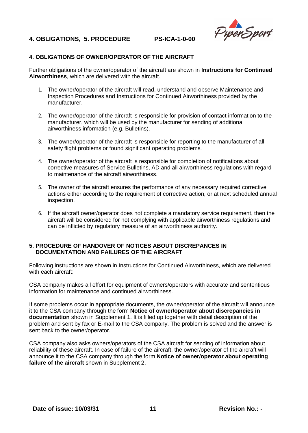

#### **4. OBLIGATIONS, 5. PROCEDURE PS-ICA-1-0-00**

#### **4. OBLIGATIONS OF OWNER/OPERATOR OF THE AIRCRAFT**

Further obligations of the owner/operator of the aircraft are shown in **Instructions for Continued Airworthiness**, which are delivered with the aircraft.

- 1. The owner/operator of the aircraft will read, understand and observe Maintenance and Inspection Procedures and Instructions for Continued Airworthiness provided by the manufacturer.
- 2. The owner/operator of the aircraft is responsible for provision of contact information to the manufacturer, which will be used by the manufacturer for sending of additional airworthiness information (e.g. Bulletins).
- 3. The owner/operator of the aircraft is responsible for reporting to the manufacturer of all safety flight problems or found significant operating problems.
- 4. The owner/operator of the aircraft is responsible for completion of notifications about corrective measures of Service Bulletins, AD and all airworthiness regulations with regard to maintenance of the aircraft airworthiness.
- 5. The owner of the aircraft ensures the performance of any necessary required corrective actions either according to the requirement of corrective action, or at next scheduled annual inspection.
- 6. If the aircraft owner/operator does not complete a mandatory service requirement, then the aircraft will be considered for not complying with applicable airworthiness regulations and can be inflicted by regulatory measure of an airworthiness authority.

#### **5. PROCEDURE OF HANDOVER OF NOTICES ABOUT DISCREPANCES IN DOCUMENTATION AND FAILURES OF THE AIRCRAFT**

Following instructions are shown in Instructions for Continued Airworthiness, which are delivered with each aircraft:

CSA company makes all effort for equipment of owners/operators with accurate and sententious information for maintenance and continued airworthiness.

If some problems occur in appropriate documents, the owner/operator of the aircraft will announce it to the CSA company through the form **Notice of owner/operator about discrepancies in documentation** shown in Supplement 1. It is filled up together with detail description of the problem and sent by fax or E-mail to the CSA company. The problem is solved and the answer is sent back to the owner/operator.

CSA company also asks owners/operators of the CSA aircraft for sending of information about reliability of these aircraft. In case of failure of the aircraft, the owner/operator of the aircraft will announce it to the CSA company through the form **Notice of owner/operator about operating failure of the aircraft** shown in Supplement 2.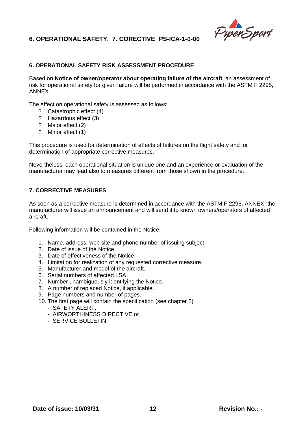

### **6. OPERATIONAL SAFETY, 7. CORECTIVE PS-ICA-1-0-00**

#### **6. OPERATIONAL SAFETY RISK ASSESSMENT PROCEDURE**

Based on **Notice of owner/operator about operating failure of the aircraft**, an assessment of risk for operational safety for given failure will be performed in accordance with the ASTM F 2295, ANNEX.

The effect on operational safety is assessed as follows:

- ? Catastrophic effect (4)
- ? Hazardous effect (3)
- ? Major effect (2)
- ? Minor effect (1)

This procedure is used for determination of effects of failures on the flight safety and for determination of appropriate corrective measures.

Nevertheless, each operational situation is unique one and an experience or evaluation of the manufacturer may lead also to measures different from those shown in the procedure.

#### **7. CORRECTIVE MEASURES**

As soon as a corrective measure is determined in accordance with the ASTM F 2295, ANNEX, the manufacturer will issue an announcement and will send it to known owners/operators of affected aircraft.

Following information will be contained in the Notice:

- 1. Name, address, web site and phone number of issuing subject.
- 2. Date of issue of the Notice.
- 3. Date of effectiveness of the Notice.
- 4. Limitation for realization of any requested corrective measure.
- 5. Manufacturer and model of the aircraft.
- 6. Serial numbers of affected LSA.
- 7. Number unambiguously identifying the Notice.
- 8. A number of replaced Notice, if applicable.
- 9. Page numbers and number of pages.
- 10. The first page will contain the specification (see chapter 2)
	- SAFETY ALERT,
	- AIRWORTHINESS DIRECTIVE or
	- SERVICE BULLETIN.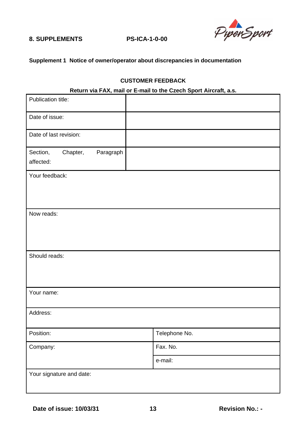

#### **8. SUPPLEMENTS PS-ICA-1-0-00**

#### **Supplement 1 Notice of owner/operator about discrepancies in documentation**

#### **CUSTOMER FEEDBACK**

### **Return via FAX, mail or E-mail to the Czech Sport Aircraft, a.s.**

| Publication title:                             |               |
|------------------------------------------------|---------------|
| Date of issue:                                 |               |
| Date of last revision:                         |               |
| Paragraph<br>Section,<br>Chapter,<br>affected: |               |
| Your feedback:                                 |               |
| Now reads:                                     |               |
| Should reads:                                  |               |
| Your name:                                     |               |
| Address:                                       |               |
| Position:                                      | Telephone No. |
| Company:                                       | Fax. No.      |
|                                                | e-mail:       |
| Your signature and date:                       |               |